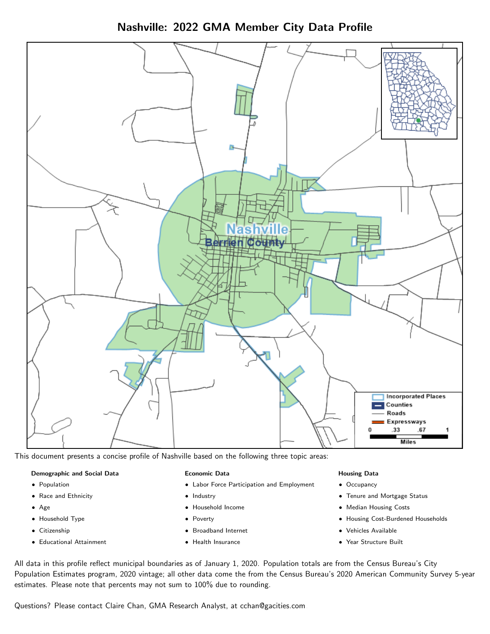Nashville: 2022 GMA Member City Data Profile



This document presents a concise profile of Nashville based on the following three topic areas:

### Demographic and Social Data

- **•** Population
- Race and Ethnicity
- Age
- Household Type
- **Citizenship**
- Educational Attainment

## Economic Data

- Labor Force Participation and Employment
- Industry
- Household Income
- Poverty
- Broadband Internet
- Health Insurance

### Housing Data

- Occupancy
- Tenure and Mortgage Status
- Median Housing Costs
- Housing Cost-Burdened Households
- Vehicles Available
- Year Structure Built

All data in this profile reflect municipal boundaries as of January 1, 2020. Population totals are from the Census Bureau's City Population Estimates program, 2020 vintage; all other data come the from the Census Bureau's 2020 American Community Survey 5-year estimates. Please note that percents may not sum to 100% due to rounding.

Questions? Please contact Claire Chan, GMA Research Analyst, at [cchan@gacities.com.](mailto:cchan@gacities.com)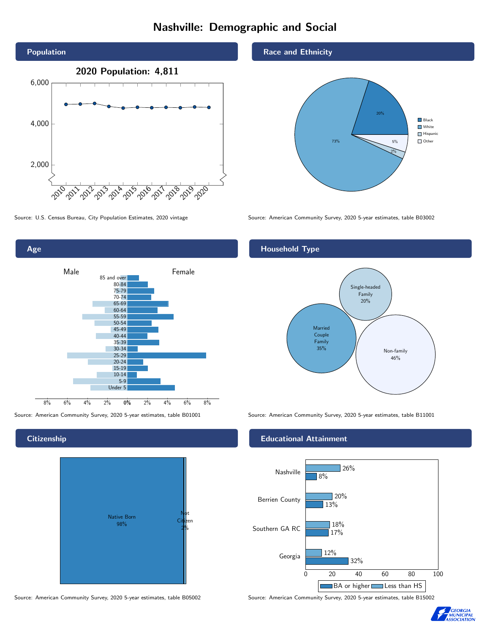# Nashville: Demographic and Social





## **Citizenship**



Source: American Community Survey, 2020 5-year estimates, table B05002 Source: American Community Survey, 2020 5-year estimates, table B15002

## Race and Ethnicity



Source: U.S. Census Bureau, City Population Estimates, 2020 vintage Source: American Community Survey, 2020 5-year estimates, table B03002

# Household Type



Source: American Community Survey, 2020 5-year estimates, table B01001 Source: American Community Survey, 2020 5-year estimates, table B11001

## Educational Attainment



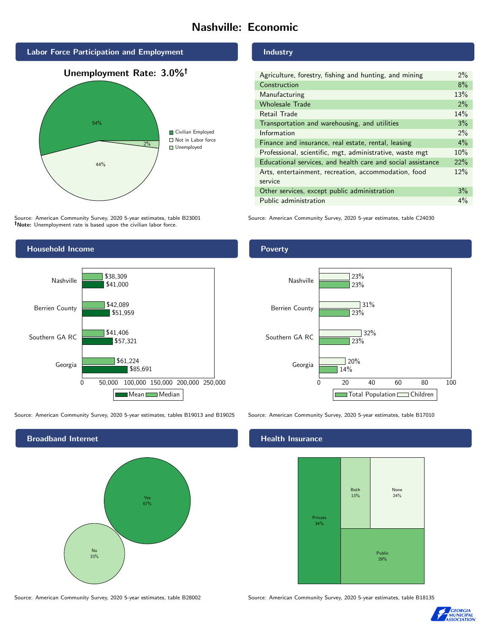# Nashville: Economic



Source: American Community Survey, 2020 5-year estimates, table B23001 Note: Unemployment rate is based upon the civilian labor force.



## Industry

| Agriculture, forestry, fishing and hunting, and mining      | $2\%$ |
|-------------------------------------------------------------|-------|
| Construction                                                | 8%    |
| Manufacturing                                               | 13%   |
| <b>Wholesale Trade</b>                                      | 2%    |
| Retail Trade                                                | 14%   |
| Transportation and warehousing, and utilities               | 3%    |
| Information                                                 | $2\%$ |
| Finance and insurance, real estate, rental, leasing         | $4\%$ |
| Professional, scientific, mgt, administrative, waste mgt    | 10%   |
| Educational services, and health care and social assistance | 22%   |
| Arts, entertainment, recreation, accommodation, food        | 12%   |
| service                                                     |       |
| Other services, except public administration                | 3%    |
| Public administration                                       | 4%    |

Source: American Community Survey, 2020 5-year estimates, table C24030





Source: American Community Survey, 2020 5-year estimates, tables B19013 and B19025 Source: American Community Survey, 2020 5-year estimates, table B17010

\$57,321

\$61,224

\$51,959

\$41,406

Georgia

Southern GA RC

0 50,000 100,000 150,000 200,000 250,000

Mean Median

\$85,691



# **Health Insurance**



Source: American Community Survey, 2020 5-year estimates, table B28002 Source: American Community Survey, 2020 5-year estimates, table B18135